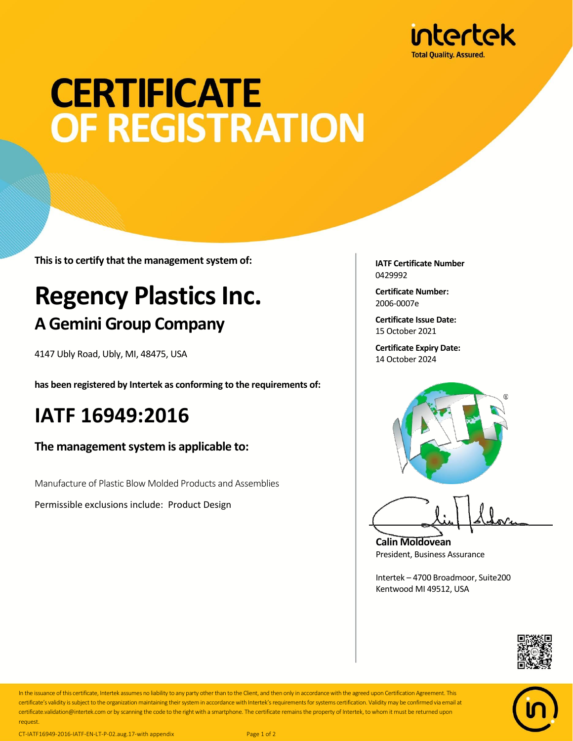

# **CERTIFICATE** OF REGISTRATION

**This is to certify that the management system of:**

## **Regency Plastics Inc. A Gemini Group Company**

4147 Ubly Road, Ubly, MI, 48475, USA

**has been registered by Intertek as conforming to the requirements of:**

### **IATF 16949:2016**

**The management system is applicable to:**

Manufacture of Plastic Blow Molded Products and Assemblies

Permissible exclusions include: Product Design

**IATF Certificate Number** 0429992

**Certificate Number:** 2006-0007e

**Certificate Issue Date:** 15 October 2021

**Certificate Expiry Date:** 14 October 2024



**Calin Moldovean** President, Business Assurance

Intertek – 4700 Broadmoor, Suite200 Kentwood MI 49512, USA





In the issuance of this certificate, Intertek assumes no liability to any party other than to the Client, and then only in accordance with the agreed upon Certification Agreement. This certificate's validity is subject to the organization maintaining their system in accordance with Intertek's requirements forsystems certification. Validity may be confirmed via email at certificate.validation@intertek.com or by scanning the code to the right with a smartphone. The certificate remains the property of Intertek, to whom it must be returned upon request.